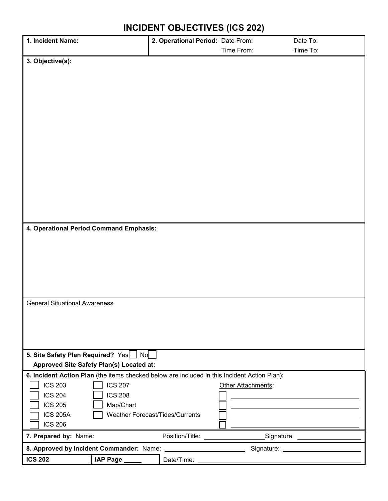| 1. Incident Name:                                                                                         |                                          | 2. Operational Period: Date From: |                    | Date To: |
|-----------------------------------------------------------------------------------------------------------|------------------------------------------|-----------------------------------|--------------------|----------|
|                                                                                                           |                                          |                                   | Time From:         | Time To: |
| 3. Objective(s):                                                                                          |                                          |                                   |                    |          |
|                                                                                                           |                                          |                                   |                    |          |
|                                                                                                           |                                          |                                   |                    |          |
|                                                                                                           |                                          |                                   |                    |          |
|                                                                                                           |                                          |                                   |                    |          |
|                                                                                                           |                                          |                                   |                    |          |
|                                                                                                           |                                          |                                   |                    |          |
|                                                                                                           |                                          |                                   |                    |          |
|                                                                                                           |                                          |                                   |                    |          |
|                                                                                                           |                                          |                                   |                    |          |
|                                                                                                           |                                          |                                   |                    |          |
|                                                                                                           |                                          |                                   |                    |          |
|                                                                                                           |                                          |                                   |                    |          |
|                                                                                                           |                                          |                                   |                    |          |
|                                                                                                           |                                          |                                   |                    |          |
|                                                                                                           |                                          |                                   |                    |          |
|                                                                                                           |                                          |                                   |                    |          |
|                                                                                                           |                                          |                                   |                    |          |
| 4. Operational Period Command Emphasis:                                                                   |                                          |                                   |                    |          |
|                                                                                                           |                                          |                                   |                    |          |
|                                                                                                           |                                          |                                   |                    |          |
|                                                                                                           |                                          |                                   |                    |          |
|                                                                                                           |                                          |                                   |                    |          |
|                                                                                                           |                                          |                                   |                    |          |
|                                                                                                           |                                          |                                   |                    |          |
|                                                                                                           |                                          |                                   |                    |          |
| <b>General Situational Awareness</b>                                                                      |                                          |                                   |                    |          |
|                                                                                                           |                                          |                                   |                    |          |
|                                                                                                           |                                          |                                   |                    |          |
|                                                                                                           |                                          |                                   |                    |          |
|                                                                                                           |                                          |                                   |                    |          |
|                                                                                                           |                                          |                                   |                    |          |
| 5. Site Safety Plan Required? Yes   No                                                                    |                                          |                                   |                    |          |
|                                                                                                           | Approved Site Safety Plan(s) Located at: |                                   |                    |          |
| 6. Incident Action Plan (the items checked below are included in this Incident Action Plan):              |                                          |                                   |                    |          |
| <b>ICS 203</b>                                                                                            | <b>ICS 207</b>                           |                                   | Other Attachments: |          |
| <b>ICS 204</b>                                                                                            | <b>ICS 208</b>                           |                                   |                    |          |
| <b>ICS 205</b>                                                                                            | Map/Chart                                |                                   |                    |          |
| <b>ICS 205A</b>                                                                                           |                                          | Weather Forecast/Tides/Currents   |                    |          |
| <b>ICS 206</b>                                                                                            |                                          |                                   |                    |          |
| Position/Title: ___________________________Signature: __________________________<br>7. Prepared by: Name: |                                          |                                   |                    |          |
|                                                                                                           |                                          |                                   |                    |          |
|                                                                                                           |                                          |                                   |                    |          |
| <b>ICS 202</b>                                                                                            | IAP Page _____                           |                                   |                    |          |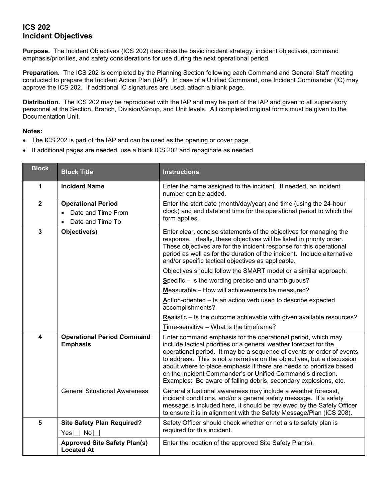## **ICS 202 Incident Objectives**

**Purpose.** The Incident Objectives (ICS 202) describes the basic incident strategy, incident objectives, command emphasis/priorities, and safety considerations for use during the next operational period.

**Preparation.** The ICS 202 is completed by the Planning Section following each Command and General Staff meeting conducted to prepare the Incident Action Plan (IAP). In case of a Unified Command, one Incident Commander (IC) may approve the ICS 202. If additional IC signatures are used, attach a blank page.

**Distribution.** The ICS 202 may be reproduced with the IAP and may be part of the IAP and given to all supervisory personnel at the Section, Branch, Division/Group, and Unit levels. All completed original forms must be given to the Documentation Unit.

## **Notes:**

- The ICS 202 is part of the IAP and can be used as the opening or cover page.
- If additional pages are needed, use a blank ICS 202 and repaginate as needed.

| <b>Block</b>   | <b>Block Title</b>                                                                            | <b>Instructions</b>                                                                                                                                                                                                                                                                                                                                                                                                                                                                              |  |
|----------------|-----------------------------------------------------------------------------------------------|--------------------------------------------------------------------------------------------------------------------------------------------------------------------------------------------------------------------------------------------------------------------------------------------------------------------------------------------------------------------------------------------------------------------------------------------------------------------------------------------------|--|
| 1              | <b>Incident Name</b>                                                                          | Enter the name assigned to the incident. If needed, an incident<br>number can be added.                                                                                                                                                                                                                                                                                                                                                                                                          |  |
| $\overline{2}$ | <b>Operational Period</b><br>Date and Time From<br>$\bullet$<br>Date and Time To<br>$\bullet$ | Enter the start date (month/day/year) and time (using the 24-hour<br>clock) and end date and time for the operational period to which the<br>form applies.                                                                                                                                                                                                                                                                                                                                       |  |
| $\overline{3}$ | Objective(s)                                                                                  | Enter clear, concise statements of the objectives for managing the<br>response. Ideally, these objectives will be listed in priority order.<br>These objectives are for the incident response for this operational<br>period as well as for the duration of the incident. Include alternative<br>and/or specific tactical objectives as applicable.                                                                                                                                              |  |
|                |                                                                                               | Objectives should follow the SMART model or a similar approach:                                                                                                                                                                                                                                                                                                                                                                                                                                  |  |
|                |                                                                                               | Specific - Is the wording precise and unambiguous?                                                                                                                                                                                                                                                                                                                                                                                                                                               |  |
|                |                                                                                               | Measurable - How will achievements be measured?                                                                                                                                                                                                                                                                                                                                                                                                                                                  |  |
|                |                                                                                               | Action-oriented - Is an action verb used to describe expected<br>accomplishments?                                                                                                                                                                                                                                                                                                                                                                                                                |  |
|                |                                                                                               | Realistic - Is the outcome achievable with given available resources?                                                                                                                                                                                                                                                                                                                                                                                                                            |  |
|                |                                                                                               | Time-sensitive - What is the timeframe?                                                                                                                                                                                                                                                                                                                                                                                                                                                          |  |
| 4              | <b>Operational Period Command</b><br><b>Emphasis</b>                                          | Enter command emphasis for the operational period, which may<br>include tactical priorities or a general weather forecast for the<br>operational period. It may be a sequence of events or order of events<br>to address. This is not a narrative on the objectives, but a discussion<br>about where to place emphasis if there are needs to prioritize based<br>on the Incident Commander's or Unified Command's direction.<br>Examples: Be aware of falling debris, secondary explosions, etc. |  |
|                | <b>General Situational Awareness</b>                                                          | General situational awareness may include a weather forecast,<br>incident conditions, and/or a general safety message. If a safety<br>message is included here, it should be reviewed by the Safety Officer<br>to ensure it is in alignment with the Safety Message/Plan (ICS 208).                                                                                                                                                                                                              |  |
| 5              | <b>Site Safety Plan Required?</b><br>Yes $\Box$ No $\Box$                                     | Safety Officer should check whether or not a site safety plan is<br>required for this incident.                                                                                                                                                                                                                                                                                                                                                                                                  |  |
|                | <b>Approved Site Safety Plan(s)</b><br><b>Located At</b>                                      | Enter the location of the approved Site Safety Plan(s).                                                                                                                                                                                                                                                                                                                                                                                                                                          |  |